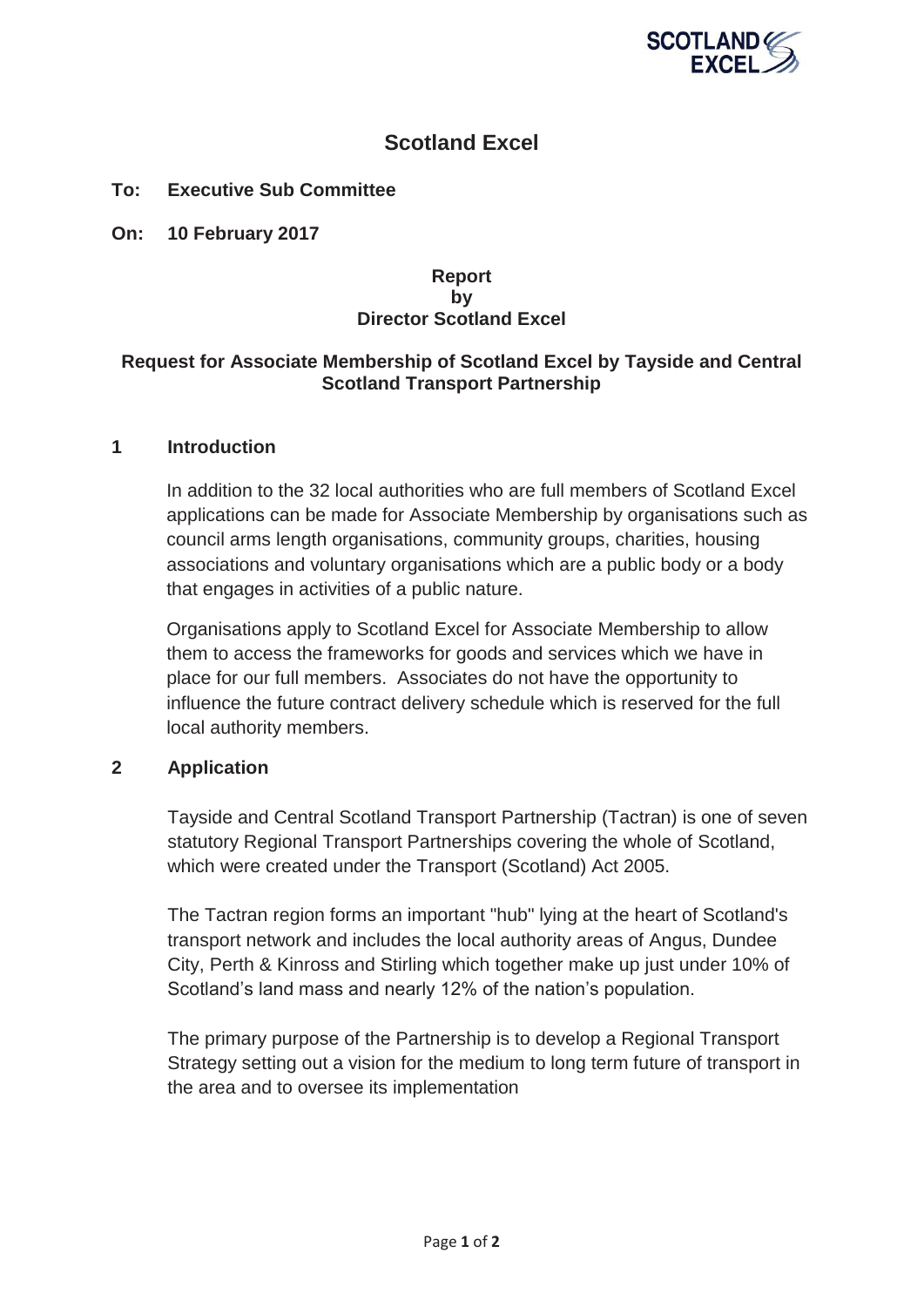

# **Scotland Excel**

# **To: Executive Sub Committee**

**On: 10 February 2017** 

## **Report by Director Scotland Excel**

## **Request for Associate Membership of Scotland Excel by Tayside and Central Scotland Transport Partnership**

#### **1 Introduction**

In addition to the 32 local authorities who are full members of Scotland Excel applications can be made for Associate Membership by organisations such as council arms length organisations, community groups, charities, housing associations and voluntary organisations which are a public body or a body that engages in activities of a public nature.

Organisations apply to Scotland Excel for Associate Membership to allow them to access the frameworks for goods and services which we have in place for our full members. Associates do not have the opportunity to influence the future contract delivery schedule which is reserved for the full local authority members.

## **2 Application**

Tayside and Central Scotland Transport Partnership (Tactran) is one of seven statutory Regional Transport Partnerships covering the whole of Scotland, which were created under the Transport (Scotland) Act 2005.

The Tactran region forms an important "hub" lying at the heart of Scotland's transport network and includes the local authority areas of Angus, Dundee City, Perth & Kinross and Stirling which together make up just under 10% of Scotland's land mass and nearly 12% of the nation's population.

The primary purpose of the Partnership is to develop a Regional Transport Strategy setting out a vision for the medium to long term future of transport in the area and to oversee its implementation